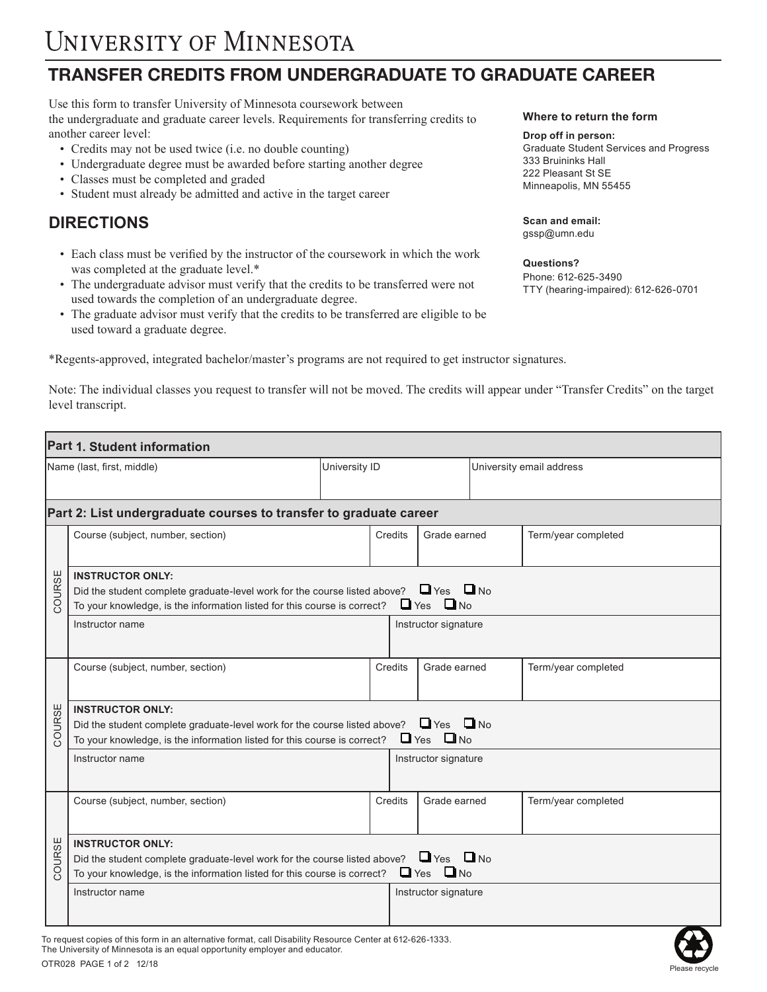## **TRANSFER CREDITS FROM UNDERGRADUATE TO GRADUATE CAREER**

Use this form to transfer University of Minnesota coursework between the undergraduate and graduate career levels. Requirements for transferring credits to another career level:

- Credits may not be used twice (i.e. no double counting)
- Undergraduate degree must be awarded before starting another degree
- Classes must be completed and graded
- Student must already be admitted and active in the target career

### **DIRECTIONS**

- Each class must be verified by the instructor of the coursework in which the work was completed at the graduate level.\*
- The undergraduate advisor must verify that the credits to be transferred were not used towards the completion of an undergraduate degree.
- The graduate advisor must verify that the credits to be transferred are eligible to be used toward a graduate degree.

\*Regents-approved, integrated bachelor/master's programs are not required to get instructor signatures.

Note: The individual classes you request to transfer will not be moved. The credits will appear under "Transfer Credits" on the target level transcript.

| Part 1. Student information                                       |                                                                                                                                                                                                                                  |               |                         |                      |                          |                     |  |  |  |  |
|-------------------------------------------------------------------|----------------------------------------------------------------------------------------------------------------------------------------------------------------------------------------------------------------------------------|---------------|-------------------------|----------------------|--------------------------|---------------------|--|--|--|--|
| Name (last, first, middle)                                        |                                                                                                                                                                                                                                  | University ID |                         |                      | University email address |                     |  |  |  |  |
| Part 2: List undergraduate courses to transfer to graduate career |                                                                                                                                                                                                                                  |               |                         |                      |                          |                     |  |  |  |  |
| COURSE                                                            | Course (subject, number, section)                                                                                                                                                                                                |               | Grade earned<br>Credits |                      |                          | Term/year completed |  |  |  |  |
|                                                                   | <b>INSTRUCTOR ONLY:</b><br>$\Box$ Yes $\Box$ No<br>Did the student complete graduate-level work for the course listed above?<br>$\Box$ Yes $\Box$ No<br>To your knowledge, is the information listed for this course is correct? |               |                         |                      |                          |                     |  |  |  |  |
|                                                                   | Instructor name                                                                                                                                                                                                                  |               |                         | Instructor signature |                          |                     |  |  |  |  |
| COURSE                                                            | Course (subject, number, section)                                                                                                                                                                                                |               | Credits                 | Grade earned         |                          | Term/year completed |  |  |  |  |
|                                                                   | <b>INSTRUCTOR ONLY:</b><br>$\Box$ Yes $\Box$ No<br>Did the student complete graduate-level work for the course listed above?<br>$\Box$ Yes $\Box$ No<br>To your knowledge, is the information listed for this course is correct? |               |                         |                      |                          |                     |  |  |  |  |
|                                                                   | Instructor name                                                                                                                                                                                                                  |               |                         | Instructor signature |                          |                     |  |  |  |  |
| COURSE                                                            | Course (subject, number, section)                                                                                                                                                                                                |               | Credits                 | Grade earned         |                          | Term/year completed |  |  |  |  |
|                                                                   | <b>INSTRUCTOR ONLY:</b><br>$\Box$ Yes $\Box$ No<br>Did the student complete graduate-level work for the course listed above?<br>$\Box$ Yes $\Box$ No<br>To your knowledge, is the information listed for this course is correct? |               |                         |                      |                          |                     |  |  |  |  |
|                                                                   | Instructor name                                                                                                                                                                                                                  |               |                         | Instructor signature |                          |                     |  |  |  |  |
|                                                                   |                                                                                                                                                                                                                                  |               |                         |                      |                          |                     |  |  |  |  |

To request copies of this form in an alternative format, call Disability Resource Center at 612-626-1333. The University of Minnesota is an equal opportunity employer and educator.



#### **Where to return the form**

#### **Drop off in person:**

Graduate Student Services and Progress 333 Bruininks Hall 222 Pleasant St SE Minneapolis, MN 55455

**Scan and email:** gssp@umn.edu

**Questions?**  Phone: 612-625-3490 TTY (hearing-impaired): 612-626-0701